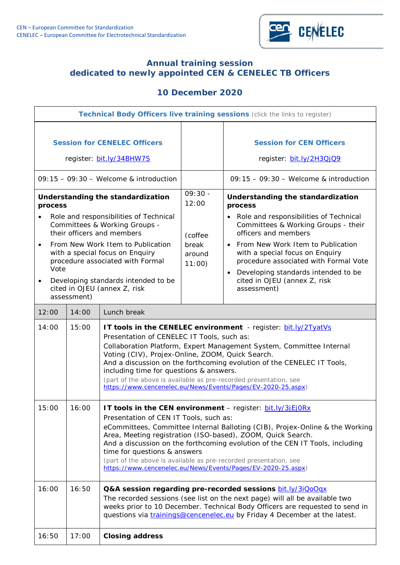

## **Annual training session dedicated to newly appointed CEN & CENELEC TB Officers**

# **10 December 2020**

| Technical Body Officers live training sessions (click the links to register)                                                                                                                                                                                                                                  |       |                                                                                                                                                                                                                                                                                                                                                                                                                                                                                                                  |                                     |                                                                                                                                                                                                                                                                                                                                        |
|---------------------------------------------------------------------------------------------------------------------------------------------------------------------------------------------------------------------------------------------------------------------------------------------------------------|-------|------------------------------------------------------------------------------------------------------------------------------------------------------------------------------------------------------------------------------------------------------------------------------------------------------------------------------------------------------------------------------------------------------------------------------------------------------------------------------------------------------------------|-------------------------------------|----------------------------------------------------------------------------------------------------------------------------------------------------------------------------------------------------------------------------------------------------------------------------------------------------------------------------------------|
| <b>Session for CENELEC Officers</b><br>register: bit.ly/34BHW7S                                                                                                                                                                                                                                               |       |                                                                                                                                                                                                                                                                                                                                                                                                                                                                                                                  |                                     | <b>Session for CEN Officers</b><br>register: bit.ly/2H3QjQ9                                                                                                                                                                                                                                                                            |
| $09:15 - 09:30 -$ Welcome & introduction                                                                                                                                                                                                                                                                      |       |                                                                                                                                                                                                                                                                                                                                                                                                                                                                                                                  |                                     | $09:15 - 09:30 -$ Welcome & introduction                                                                                                                                                                                                                                                                                               |
| Understanding the standardization<br>process                                                                                                                                                                                                                                                                  |       |                                                                                                                                                                                                                                                                                                                                                                                                                                                                                                                  | $09:30 -$<br>12:00                  | Understanding the standardization<br>process                                                                                                                                                                                                                                                                                           |
| Role and responsibilities of Technical<br>Committees & Working Groups -<br>their officers and members<br>From New Work Item to Publication<br>with a special focus on Enquiry<br>procedure associated with Formal<br>Vote<br>Developing standards intended to be<br>$\bullet$<br>cited in OJEU (annex Z, risk |       |                                                                                                                                                                                                                                                                                                                                                                                                                                                                                                                  | (coffee<br>break<br>around<br>11:00 | Role and responsibilities of Technical<br>Committees & Working Groups - their<br>officers and members<br>From New Work Item to Publication<br>$\bullet$<br>with a special focus on Enquiry<br>procedure associated with Formal Vote<br>Developing standards intended to be<br>$\bullet$<br>cited in OJEU (annex Z, risk<br>assessment) |
| assessment)                                                                                                                                                                                                                                                                                                   |       |                                                                                                                                                                                                                                                                                                                                                                                                                                                                                                                  |                                     |                                                                                                                                                                                                                                                                                                                                        |
| 12:00<br>Lunch break<br>14:00                                                                                                                                                                                                                                                                                 |       |                                                                                                                                                                                                                                                                                                                                                                                                                                                                                                                  |                                     |                                                                                                                                                                                                                                                                                                                                        |
| 14:00                                                                                                                                                                                                                                                                                                         | 15:00 | <b>IT tools in the CENELEC environment</b> - register: <b>bit.ly/2TyatVs</b><br>Presentation of CENELEC IT Tools, such as:<br>Collaboration Platform, Expert Management System, Committee Internal<br>Voting (CIV), Projex-Online, ZOOM, Quick Search.<br>And a discussion on the forthcoming evolution of the CENELEC IT Tools,<br>including time for questions & answers.<br>(part of the above is available as pre-recorded presentation, see<br>https://www.cencenelec.eu/News/Events/Pages/EV-2020-25.aspx) |                                     |                                                                                                                                                                                                                                                                                                                                        |
| 15:00                                                                                                                                                                                                                                                                                                         | 16:00 | IT tools in the CEN environment - register: bit.ly/3jEjORx<br>Presentation of CEN IT Tools, such as:<br>eCommittees, Committee Internal Balloting (CIB), Projex-Online & the Working<br>Area, Meeting registration (ISO-based), ZOOM, Quick Search.<br>And a discussion on the forthcoming evolution of the CEN IT Tools, including<br>time for questions & answers<br>(part of the above is available as pre-recorded presentation, see<br>https://www.cencenelec.eu/News/Events/Pages/EV-2020-25.aspx)         |                                     |                                                                                                                                                                                                                                                                                                                                        |
| 16:00                                                                                                                                                                                                                                                                                                         | 16:50 | Q&A session regarding pre-recorded sessions bit.ly/3iQoOqx<br>The recorded sessions (see list on the next page) will all be available two<br>weeks prior to 10 December. Technical Body Officers are requested to send in<br>questions via <i>trainings@cencenelec.eu</i> by Friday 4 December at the latest.                                                                                                                                                                                                    |                                     |                                                                                                                                                                                                                                                                                                                                        |
| 16:50                                                                                                                                                                                                                                                                                                         | 17:00 | <b>Closing address</b>                                                                                                                                                                                                                                                                                                                                                                                                                                                                                           |                                     |                                                                                                                                                                                                                                                                                                                                        |